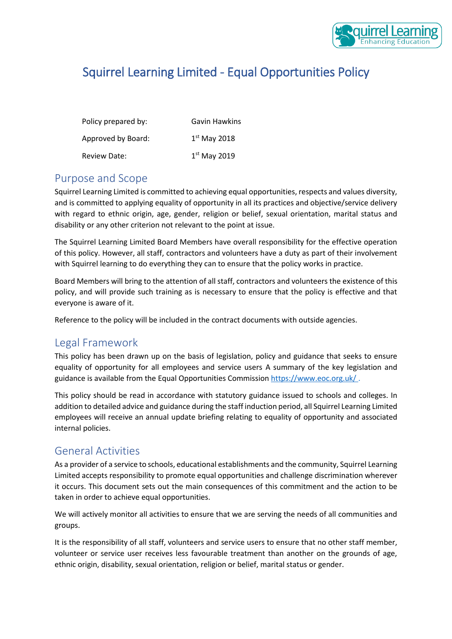

# Squirrel Learning Limited - Equal Opportunities Policy

| Policy prepared by: | <b>Gavin Hawkins</b> |
|---------------------|----------------------|
| Approved by Board:  | $1st$ May 2018       |
| <b>Review Date:</b> | $1st$ May 2019       |

### Purpose and Scope

Squirrel Learning Limited is committed to achieving equal opportunities, respects and values diversity, and is committed to applying equality of opportunity in all its practices and objective/service delivery with regard to ethnic origin, age, gender, religion or belief, sexual orientation, marital status and disability or any other criterion not relevant to the point at issue.

The Squirrel Learning Limited Board Members have overall responsibility for the effective operation of this policy. However, all staff, contractors and volunteers have a duty as part of their involvement with Squirrel learning to do everything they can to ensure that the policy works in practice.

Board Members will bring to the attention of all staff, contractors and volunteers the existence of this policy, and will provide such training as is necessary to ensure that the policy is effective and that everyone is aware of it.

Reference to the policy will be included in the contract documents with outside agencies.

## Legal Framework

This policy has been drawn up on the basis of legislation, policy and guidance that seeks to ensure equality of opportunity for all employees and service users A summary of the key legislation and guidance is available from the Equal Opportunities Commission<https://www.eoc.org.uk/> .

This policy should be read in accordance with statutory guidance issued to schools and colleges. In addition to detailed advice and guidance during the staff induction period, all Squirrel Learning Limited employees will receive an annual update briefing relating to equality of opportunity and associated internal policies.

## General Activities

As a provider of a service to schools, educational establishments and the community, Squirrel Learning Limited accepts responsibility to promote equal opportunities and challenge discrimination wherever it occurs. This document sets out the main consequences of this commitment and the action to be taken in order to achieve equal opportunities.

We will actively monitor all activities to ensure that we are serving the needs of all communities and groups.

It is the responsibility of all staff, volunteers and service users to ensure that no other staff member, volunteer or service user receives less favourable treatment than another on the grounds of age, ethnic origin, disability, sexual orientation, religion or belief, marital status or gender.